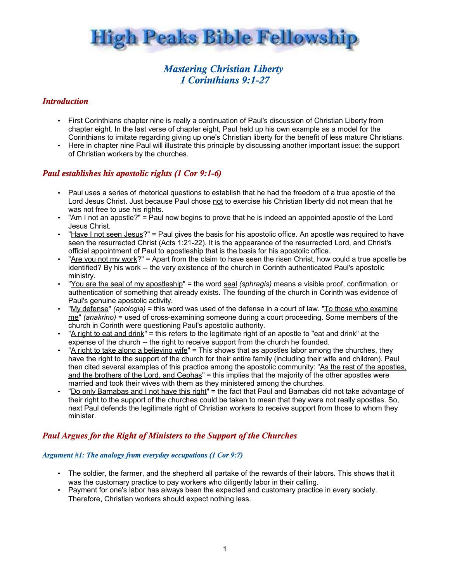

# *Mastering Christian Liberty 1 Corinthians 9:1-27*

# *Introduction*

- First Corinthians chapter nine is really a continuation of Paul's discussion of Christian Liberty from chapter eight. In the last verse of chapter eight, Paul held up his own example as a model for the Corinthians to imitate regarding giving up one's Christian liberty for the benefit of less mature Christians.
- Here in chapter nine Paul will illustrate this principle by discussing another important issue: the support of Christian workers by the churches.

# *Paul establishes his apostolic rights (1 Cor 9:1-6)*

- Paul uses a series of rhetorical questions to establish that he had the freedom of a true apostle of the Lord Jesus Christ. Just because Paul chose not to exercise his Christian liberty did not mean that he was not free to use his rights.
- "Am I not an apostle?" = Paul now begins to prove that he is indeed an appointed apostle of the Lord Jesus Christ.
- "Have I not seen Jesus?" = Paul gives the basis for his apostolic office. An apostle was required to have seen the resurrected Christ (Acts 1:21-22). It is the appearance of the resurrected Lord, and Christ's official appointment of Paul to apostleship that is the basis for his apostolic office.
- "Are you not my work?" = Apart from the claim to have seen the risen Christ, how could a true apostle be identified? By his work -- the very existence of the church in Corinth authenticated Paul's apostolic ministry.
- "You are the seal of my apostleship" = the word seal *(sphragis)* means a visible proof, confirmation, or authentication of something that already exists. The founding of the church in Corinth was evidence of Paul's genuine apostolic activity.
- "My defense" *(apologia)* = this word was used of the defense in a court of law. "To those who examine me" *(anakrino)* = used of cross-examining someone during a court proceeding. Some members of the church in Corinth were questioning Paul's apostolic authority.
- "A right to eat and drink" = this refers to the legitimate right of an apostle to "eat and drink" at the expense of the church -- the right to receive support from the church he founded.
- "A right to take along a believing wife" = This shows that as apostles labor among the churches, they have the right to the support of the church for their entire family (including their wife and children). Paul then cited several examples of this practice among the apostolic community: "As the rest of the apostles, and the brothers of the Lord, and Cephas" = this implies that the majority of the other apostles were married and took their wives with them as they ministered among the churches.
- "Do only Barnabas and I not have this right" = the fact that Paul and Barnabas did not take advantage of their right to the support of the churches could be taken to mean that they were not really apostles. So, next Paul defends the legitimate right of Christian workers to receive support from those to whom they minister.

# *Paul Argues for the Right of Ministers to the Support of the Churches*

## *Argument #1: The analogy from everyday occupations (1 Cor 9:7)*

- The soldier, the farmer, and the shepherd all partake of the rewards of their labors. This shows that it was the customary practice to pay workers who diligently labor in their calling.
- Payment for one's labor has always been the expected and customary practice in every society. Therefore, Christian workers should expect nothing less.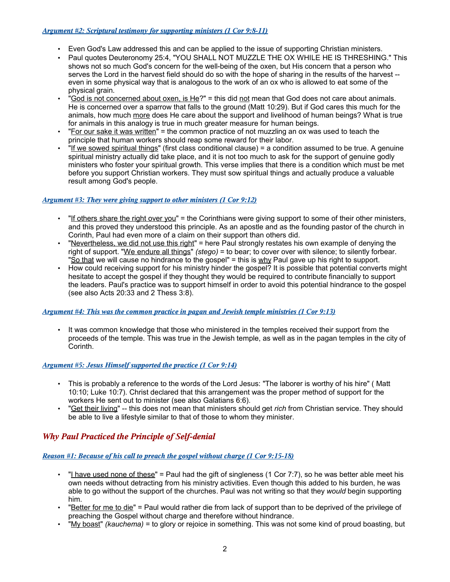#### *Argument #2: Scriptural testimony for supporting ministers (1 Cor 9:8-11)*

- Even God's Law addressed this and can be applied to the issue of supporting Christian ministers.
- Paul quotes Deuteronomy 25:4, "YOU SHALL NOT MUZZLE THE OX WHILE HE IS THRESHING." This shows not so much God's concern for the well-being of the oxen, but His concern that a person who serves the Lord in the harvest field should do so with the hope of sharing in the results of the harvest - even in some physical way that is analogous to the work of an ox who is allowed to eat some of the physical grain.
- "God is not concerned about oxen, is He?" = this did not mean that God does not care about animals. He is concerned over a sparrow that falls to the ground (Matt 10:29). But if God cares this much for the animals, how much more does He care about the support and livelihood of human beings? What is true for animals in this analogy is true in much greater measure for human beings.
- "For our sake it was written" = the common practice of not muzzling an ox was used to teach the principle that human workers should reap some reward for their labor.
- "If we sowed spiritual things" (first class conditional clause) = a condition assumed to be true. A genuine spiritual ministry actually did take place, and it is not too much to ask for the support of genuine godly ministers who foster your spiritual growth. This verse implies that there is a condition which must be met before you support Christian workers. They must sow spiritual things and actually produce a valuable result among God's people.

## *Argument #3: They were giving support to other ministers (1 Cor 9:12)*

- "If others share the right over you" = the Corinthians were giving support to some of their other ministers, and this proved they understood this principle. As an apostle and as the founding pastor of the church in Corinth, Paul had even more of a claim on their support than others did.
- "Nevertheless, we did not use this right" = here Paul strongly restates his own example of denying the right of support. "We endure all things" *(stego)* = to bear; to cover over with silence; to silently forbear. "So that we will cause no hindrance to the gospel" = this is why Paul gave up his right to support.
- How could receiving support for his ministry hinder the gospel? It is possible that potential converts might hesitate to accept the gospel if they thought they would be required to contribute financially to support the leaders. Paul's practice was to support himself in order to avoid this potential hindrance to the gospel (see also Acts 20:33 and 2 Thess 3:8).

## *Argument #4 : This was the common practice in pagan and Jewish temple ministries (1 Cor 9:13)*

It was common knowledge that those who ministered in the temples received their support from the proceeds of the temple. This was true in the Jewish temple, as well as in the pagan temples in the city of Corinth.

## *Argument #5: Jesus Himself supported the practice (1 Cor 9:14)*

- This is probably a reference to the words of the Lord Jesus: "The laborer is worthy of his hire" ( Matt 10:10; Luke 10:7). Christ declared that this arrangement was the proper method of support for the workers He sent out to minister (see also Galatians 6:6).
- "Get their living" -- this does not mean that ministers should get *rich* from Christian service. They should be able to live a lifestyle similar to that of those to whom they minister.

# *Why Paul Practiced the Principle of Self-denial*

## *Reason #1: Because of his call to preach the gospel without charge (1 Cor 9:15-18)*

- "I have used none of these" = Paul had the gift of singleness (1 Cor 7:7), so he was better able meet his own needs without detracting from his ministry activities. Even though this added to his burden, he was able to go without the support of the churches. Paul was not writing so that they *would* begin supporting him.
- "Better for me to die" = Paul would rather die from lack of support than to be deprived of the privilege of preaching the Gospel without charge and therefore without hindrance.
- "My boast" *(kauchema)* = to glory or rejoice in something. This was not some kind of proud boasting, but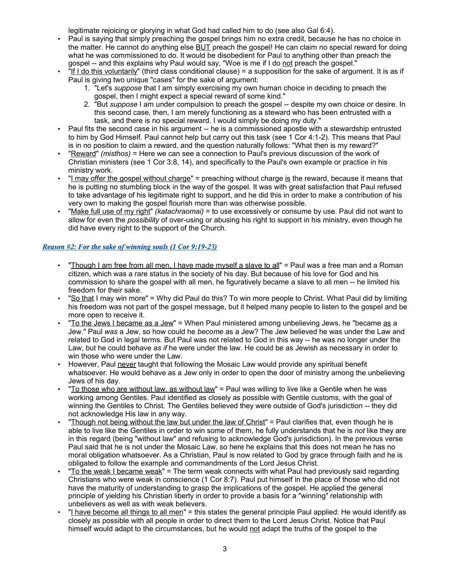legitimate rejoicing or glorying in what God had called him to do (see also Gal 6:4).

- Paul is saying that simply preaching the gospel brings him no extra credit, because he has no choice in the matter. He cannot do anything else **BUT** preach the gospel! He can claim no special reward for doing what he was commissioned to do. It would be disobedient for Paul to anything other than preach the gospel -- and this explains why Paul would say, "Woe is me if I do not preach the gospel."
- "If I do this voluntarily" (third class conditional clause) = a supposition for the sake of argument. It is as if Paul is giving two unique "cases" for the sake of argument:
	- 1. "Let's *suppose* that I am simply exercising my own human choice in deciding to preach the gospel, then I might expect a special reward of some kind."
	- 2. "But *suppose* I am under compulsion to preach the gospel -- despite my own choice or desire. In this second case, then, I am merely functioning as a steward who has been entrusted with a task, and there is no special reward. I would simply be doing my duty."
- Paul fits the second case in his argument -- he is a commissioned apostle with a stewardship entrusted to him by God Himself. Paul cannot help but carry out this task (see 1 Cor 4:1-2). This means that Paul is in no position to claim a reward, and the question naturally follows: "What then is my reward?"
- "Reward" *(misthos)* = Here we can see a connection to Paul's previous discussion of the work of Christian ministers (see 1 Cor 3:8, 14), and specifically to the Paul's own example or practice in his ministry work.
- "I may offer the gospel without charge" = preaching without charge is the reward, because it means that he is putting no stumbling block in the way of the gospel. It was with great satisfaction that Paul refused to take advantage of his legitimate right to support, and he did this in order to make a contribution of his very own to making the gospel flourish more than was otherwise possible.
- "Make full use of my right" *(katachraomai)* = to use excessively or consume by use. Paul did not want to allow for even the *possibility* of over-using or abusing his right to support in his ministry, even though he did have every right to the support of the Church.

## *Reason #2: For the sake of winning souls (1 Cor 9:19-23)*

- "Though I am free from all men, I have made myself a slave to all" = Paul was a free man and a Roman citizen, which was a rare status in the society of his day. But because of his love for God and his commission to share the gospel with all men, he figuratively became a slave to all men -- he limited his freedom for their sake.
- "So that I may win more" = Why did Paul do this? To win more people to Christ. What Paul did by limiting his freedom was not part of the gospel message, but it helped many people to listen to the gospel and be more open to receive it.
- "To the Jews I became as a Jew" = When Paul ministered among unbelieving Jews, he "became as a Jew." Paul *was* a Jew, so how could he *become* as a Jew? The Jew believed he was under the Law and related to God in legal terms. But Paul was not related to God in this way -- he was no longer under the Law, but he could behave *as if* he were under the law. He could be as Jewish as necessary in order to win those who were under the Law.
- However, Paul never taught that following the Mosaic Law would provide any spiritual benefit whatsoever. He would behave as a Jew only in order to open the door of ministry among the unbelieving Jews of his day.
- "To those who are without law, as without law" = Paul was willing to live like a Gentile when he was working among Gentiles. Paul identified as closely as possible with Gentile customs, with the goal of winning the Gentiles to Christ. The Gentiles believed they were outside of God's jurisdiction -- they did not acknowledge His law in any way.
- "Though not being without the law but under the law of Christ" = Paul clarifies that, even though he is able to live like the Gentiles in order to win some of them, he fully understands that he is *not* like they are in this regard (being "without law" and refusing to acknowledge God's jurisdiction). In the previous verse Paul said that he is not under the Mosaic Law, so here he explains that this does not mean he has no moral obligation whatsoever. As a Christian, Paul is now related to God by grace through faith and he is obligated to follow the example and commandments of the Lord Jesus Christ.
- "To the weak I became weak" = The term weak connects with what Paul had previously said regarding Christians who were weak in conscience (1 Cor 8:7). Paul put himself in the place of those who did not have the maturity of understanding to grasp the implications of the gospel. He applied the general principle of yielding his Christian liberty in order to provide a basis for a "winning" relationship with unbelievers as well as with weak believers.
- "I have become all things to all men" = this states the general principle Paul applied: He would identify as closely as possible with all people in order to direct them to the Lord Jesus Christ. Notice that Paul himself would adapt to the circumstances, but he would not adapt the truths of the gospel to the